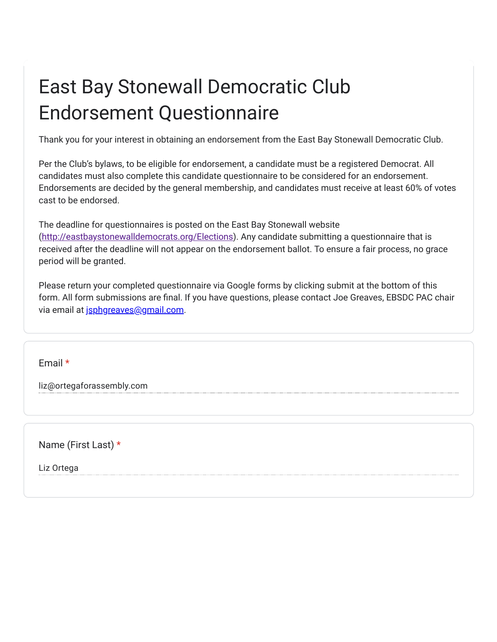## East Bay Stonewall Democratic Club Endorsement Questionnaire

Thank you for your interest in obtaining an endorsement from the East Bay Stonewall Democratic Club.

Per the Club's bylaws, to be eligible for endorsement, a candidate must be a registered Democrat. All candidates must also complete this candidate questionnaire to be considered for an endorsement. Endorsements are decided by the general membership, and candidates must receive at least 60% of votes cast to be endorsed.

The deadline for questionnaires is posted on the East Bay Stonewall website (<http://eastbaystonewalldemocrats.org/Elections>). Any candidate submitting a questionnaire that is received after the deadline will not appear on the endorsement ballot. To ensure a fair process, no grace period will be granted.

Please return your completed questionnaire via Google forms by clicking submit at the bottom of this form. All form submissions are final. If you have questions, please contact Joe Greaves, EBSDC PAC chair via email at [jsphgreaves@gmail.com](mailto:jsphgreaves@gmail.com).

Email \*

liz@ortegaforassembly.com

Name (First Last) \*

Liz Ortega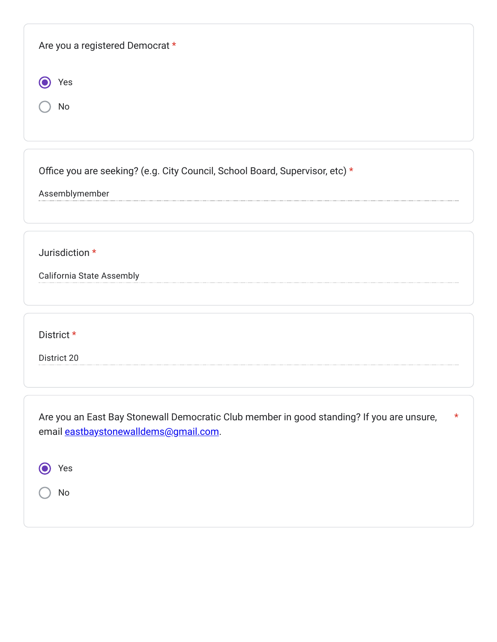| Are you a registered Democrat *                                                                                                               |
|-----------------------------------------------------------------------------------------------------------------------------------------------|
| Yes                                                                                                                                           |
| No                                                                                                                                            |
| Office you are seeking? (e.g. City Council, School Board, Supervisor, etc) *<br>Assemblymember                                                |
|                                                                                                                                               |
| Jurisdiction *                                                                                                                                |
| California State Assembly                                                                                                                     |
| District *                                                                                                                                    |
| District 20                                                                                                                                   |
| Are you an East Bay Stonewall Democratic Club member in good standing? If you are unsure,<br>$\star$<br>email eastbaystonewalldems@gmail.com. |
| Yes                                                                                                                                           |
| No                                                                                                                                            |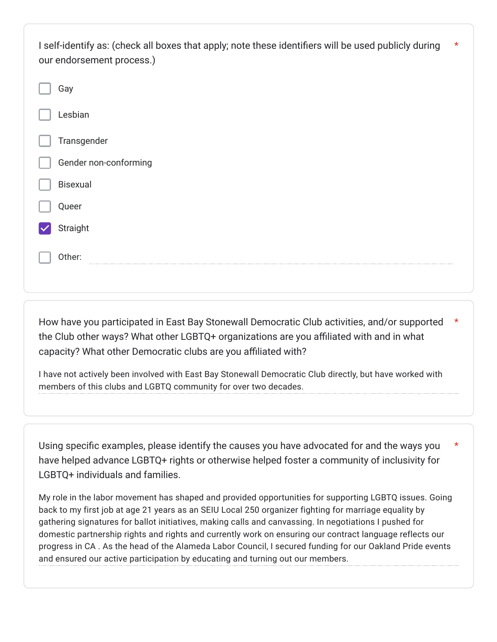| I self-identify as: (check all boxes that apply; note these identifiers will be used publicly during<br>our endorsement process.) | $\star$ |
|-----------------------------------------------------------------------------------------------------------------------------------|---------|
| Gay                                                                                                                               |         |
| Lesbian                                                                                                                           |         |
| Transgender                                                                                                                       |         |
| Gender non-conforming                                                                                                             |         |
| <b>Bisexual</b>                                                                                                                   |         |
| Queer                                                                                                                             |         |
| Straight                                                                                                                          |         |
| Other:                                                                                                                            |         |

How have you participated in East Bay Stonewall Democratic Club activities, and/or supported the Club other ways? What other LGBTQ+ organizations are you affiliated with and in what capacity? What other Democratic clubs are you affiliated with? \*

I have not actively been involved with East Bay Stonewall Democratic Club directly, but have worked with members of this clubs and LGBTQ community for over two decades.

Using specific examples, please identify the causes you have advocated for and the ways you have helped advance LGBTQ+ rights or otherwise helped foster a community of inclusivity for LGBTQ+ individuals and families. \*

My role in the labor movement has shaped and provided opportunities for supporting LGBTQ issues. Going back to my first job at age 21 years as an SEIU Local 250 organizer fighting for marriage equality by gathering signatures for ballot initiatives, making calls and canvassing. In negotiations I pushed for domestic partnership rights and rights and currently work on ensuring our contract language reflects our progress in CA . As the head of the Alameda Labor Council, I secured funding for our Oakland Pride events and ensured our active participation by educating and turning out our members.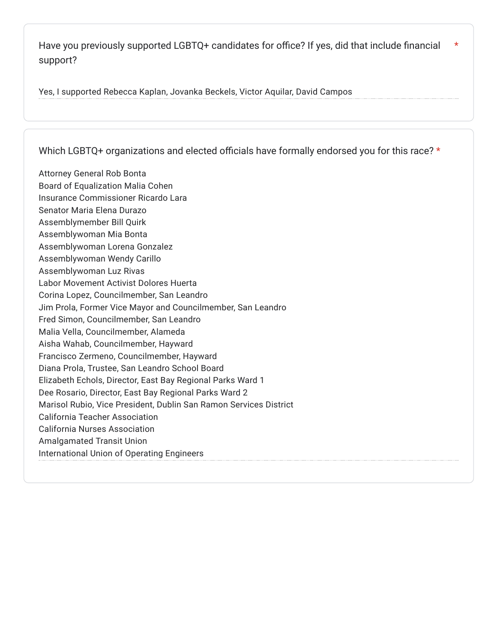Have you previously supported LGBTQ+ candidates for office? If yes, did that include financial support? \*

Yes, I supported Rebecca Kaplan, Jovanka Beckels, Victor Aquilar, David Campos

Which LGBTQ+ organizations and elected officials have formally endorsed you for this race? \*

Attorney General Rob Bonta Board of Equalization Malia Cohen Insurance Commissioner Ricardo Lara Senator Maria Elena Durazo Assemblymember Bill Quirk Assemblywoman Mia Bonta Assemblywoman Lorena Gonzalez Assemblywoman Wendy Carillo Assemblywoman Luz Rivas Labor Movement Activist Dolores Huerta Corina Lopez, Councilmember, San Leandro Jim Prola, Former Vice Mayor and Councilmember, San Leandro Fred Simon, Councilmember, San Leandro Malia Vella, Councilmember, Alameda Aisha Wahab, Councilmember, Hayward Francisco Zermeno, Councilmember, Hayward Diana Prola, Trustee, San Leandro School Board Elizabeth Echols, Director, East Bay Regional Parks Ward 1 Dee Rosario, Director, East Bay Regional Parks Ward 2 Marisol Rubio, Vice President, Dublin San Ramon Services District California Teacher Association California Nurses Association Amalgamated Transit Union International Union of Operating Engineers